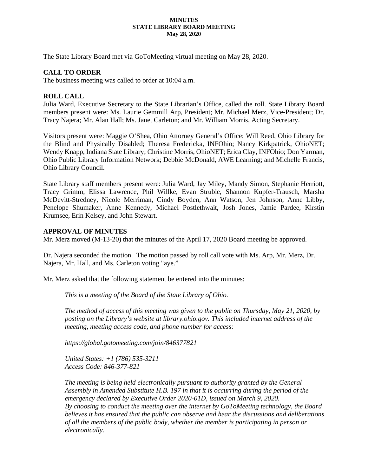#### **MINUTES STATE LIBRARY BOARD MEETING May 28, 2020**

The State Library Board met via GoToMeeting virtual meeting on May 28, 2020.

## **CALL TO ORDER**

The business meeting was called to order at 10:04 a.m.

## **ROLL CALL**

Julia Ward, Executive Secretary to the State Librarian's Office, called the roll. State Library Board members present were: Ms. Laurie Gemmill Arp, President; Mr. Michael Merz, Vice-President; Dr. Tracy Najera; Mr. Alan Hall; Ms. Janet Carleton; and Mr. William Morris, Acting Secretary.

Visitors present were: Maggie O'Shea, Ohio Attorney General's Office; Will Reed, Ohio Library for the Blind and Physically Disabled; Theresa Fredericka, INFOhio; Nancy Kirkpatrick, OhioNET; Wendy Knapp, Indiana State Library; Christine Morris, OhioNET; Erica Clay, INFOhio; Don Yarman, Ohio Public Library Information Network; Debbie McDonald, AWE Learning; and Michelle Francis, Ohio Library Council.

State Library staff members present were: Julia Ward, Jay Miley, Mandy Simon, Stephanie Herriott, Tracy Grimm, Elissa Lawrence, Phil Willke, Evan Struble, Shannon Kupfer-Trausch, Marsha McDevitt-Stredney, Nicole Merriman, Cindy Boyden, Ann Watson, Jen Johnson, Anne Libby, Penelope Shumaker, Anne Kennedy, Michael Postlethwait, Josh Jones, Jamie Pardee, Kirstin Krumsee, Erin Kelsey, and John Stewart.

#### **APPROVAL OF MINUTES**

Mr. Merz moved (M-13-20) that the minutes of the April 17, 2020 Board meeting be approved.

Dr. Najera seconded the motion. The motion passed by roll call vote with Ms. Arp, Mr. Merz, Dr. Najera, Mr. Hall, and Ms. Carleton voting "aye."

Mr. Merz asked that the following statement be entered into the minutes:

*This is a meeting of the Board of the State Library of Ohio.*

*The method of access of this meeting was given to the public on Thursday, May 21, 2020, by posting on the Library's website at library.ohio.gov. This included internet address of the meeting, meeting access code, and phone number for access:*

*https://global.gotomeeting.com/join/846377821*

*United States: +1 (786) 535-3211 Access Code: 846-377-821*

*The meeting is being held electronically pursuant to authority granted by the General Assembly in Amended Substitute H.B. 197 in that it is occurring during the period of the emergency declared by Executive Order 2020-01D, issued on March 9, 2020. By choosing to conduct the meeting over the internet by GoToMeeting technology, the Board believes it has ensured that the public can observe and hear the discussions and deliberations of all the members of the public body, whether the member is participating in person or electronically.*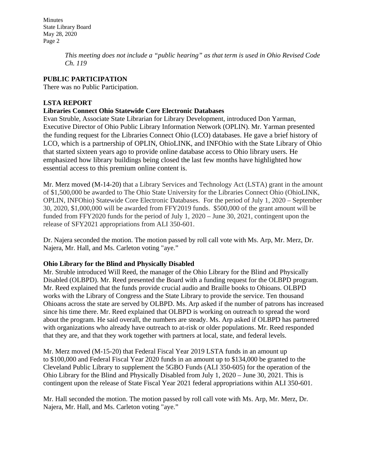> *This meeting does not include a "public hearing" as that term is used in Ohio Revised Code Ch. 119*

# **PUBLIC PARTICIPATION**

There was no Public Participation.

# **LSTA REPORT**

# **Libraries Connect Ohio Statewide Core Electronic Databases**

Evan Struble, Associate State Librarian for Library Development, introduced Don Yarman, Executive Director of Ohio Public Library Information Network (OPLIN). Mr. Yarman presented the funding request for the Libraries Connect Ohio (LCO) databases. He gave a brief history of LCO, which is a partnership of OPLIN, OhioLINK, and INFOhio with the State Library of Ohio that started sixteen years ago to provide online database access to Ohio library users. He emphasized how library buildings being closed the last few months have highlighted how essential access to this premium online content is.

Mr. Merz moved (M-14-20) that a Library Services and Technology Act (LSTA) grant in the amount of \$1,500,000 be awarded to The Ohio State University for the Libraries Connect Ohio (OhioLINK, OPLIN, INFOhio) Statewide Core Electronic Databases. For the period of July 1, 2020 – September 30, 2020, \$1,000,000 will be awarded from FFY2019 funds. \$500,000 of the grant amount will be funded from FFY2020 funds for the period of July 1, 2020 – June 30, 2021, contingent upon the release of SFY2021 appropriations from ALI 350-601.

Dr. Najera seconded the motion. The motion passed by roll call vote with Ms. Arp, Mr. Merz, Dr. Najera, Mr. Hall, and Ms. Carleton voting "aye."

## **Ohio Library for the Blind and Physically Disabled**

Mr. Struble introduced Will Reed, the manager of the Ohio Library for the Blind and Physically Disabled (OLBPD). Mr. Reed presented the Board with a funding request for the OLBPD program. Mr. Reed explained that the funds provide crucial audio and Braille books to Ohioans. OLBPD works with the Library of Congress and the State Library to provide the service. Ten thousand Ohioans across the state are served by OLBPD. Ms. Arp asked if the number of patrons has increased since his time there. Mr. Reed explained that OLBPD is working on outreach to spread the word about the program. He said overall, the numbers are steady. Ms. Arp asked if OLBPD has partnered with organizations who already have outreach to at-risk or older populations. Mr. Reed responded that they are, and that they work together with partners at local, state, and federal levels.

Mr. Merz moved (M-15-20) that Federal Fiscal Year 2019 LSTA funds in an amount up to \$100,000 and Federal Fiscal Year 2020 funds in an amount up to \$134,000 be granted to the Cleveland Public Library to supplement the 5GBO Funds (ALI 350-605) for the operation of the Ohio Library for the Blind and Physically Disabled from July 1, 2020 – June 30, 2021. This is contingent upon the release of State Fiscal Year 2021 federal appropriations within ALI 350-601.

Mr. Hall seconded the motion. The motion passed by roll call vote with Ms. Arp, Mr. Merz, Dr. Najera, Mr. Hall, and Ms. Carleton voting "aye."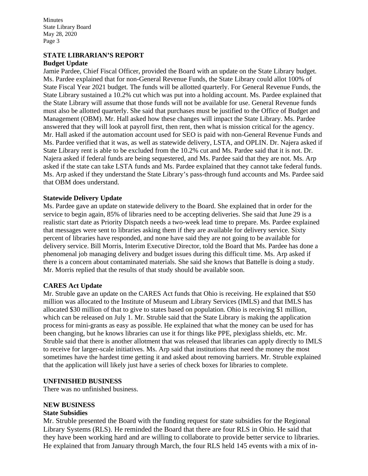### **STATE LIBRARIAN'S REPORT Budget Update**

Jamie Pardee, Chief Fiscal Officer, provided the Board with an update on the State Library budget. Ms. Pardee explained that for non-General Revenue Funds, the State Library could allot 100% of State Fiscal Year 2021 budget. The funds will be allotted quarterly. For General Revenue Funds, the State Library sustained a 10.2% cut which was put into a holding account. Ms. Pardee explained that the State Library will assume that those funds will not be available for use. General Revenue funds must also be allotted quarterly. She said that purchases must be justified to the Office of Budget and Management (OBM). Mr. Hall asked how these changes will impact the State Library. Ms. Pardee answered that they will look at payroll first, then rent, then what is mission critical for the agency. Mr. Hall asked if the automation account used for SEO is paid with non-General Revenue Funds and Ms. Pardee verified that it was, as well as statewide delivery, LSTA, and OPLIN. Dr. Najera asked if State Library rent is able to be excluded from the 10.2% cut and Ms. Pardee said that it is not. Dr. Najera asked if federal funds are being sequestered, and Ms. Pardee said that they are not. Ms. Arp asked if the state can take LSTA funds and Ms. Pardee explained that they cannot take federal funds. Ms. Arp asked if they understand the State Library's pass-through fund accounts and Ms. Pardee said that OBM does understand.

## **Statewide Delivery Update**

Ms. Pardee gave an update on statewide delivery to the Board. She explained that in order for the service to begin again, 85% of libraries need to be accepting deliveries. She said that June 29 is a realistic start date as Priority Dispatch needs a two-week lead time to prepare. Ms. Pardee explained that messages were sent to libraries asking them if they are available for delivery service. Sixty percent of libraries have responded, and none have said they are not going to be available for delivery service. Bill Morris, Interim Executive Director, told the Board that Ms. Pardee has done a phenomenal job managing delivery and budget issues during this difficult time. Ms. Arp asked if there is a concern about contaminated materials. She said she knows that Battelle is doing a study. Mr. Morris replied that the results of that study should be available soon.

## **CARES Act Update**

Mr. Struble gave an update on the CARES Act funds that Ohio is receiving. He explained that \$50 million was allocated to the Institute of Museum and Library Services (IMLS) and that IMLS has allocated \$30 million of that to give to states based on population. Ohio is receiving \$1 million, which can be released on July 1. Mr. Struble said that the State Library is making the application process for mini-grants as easy as possible. He explained that what the money can be used for has been changing, but he knows libraries can use it for things like PPE, plexiglass shields, etc. Mr. Struble said that there is another allotment that was released that libraries can apply directly to IMLS to receive for larger-scale initiatives. Ms. Arp said that institutions that need the money the most sometimes have the hardest time getting it and asked about removing barriers. Mr. Struble explained that the application will likely just have a series of check boxes for libraries to complete.

#### **UNFINISHED BUSINESS**

There was no unfinished business.

#### **NEW BUSINESS**

#### **State Subsidies**

Mr. Struble presented the Board with the funding request for state subsidies for the Regional Library Systems (RLS). He reminded the Board that there are four RLS in Ohio. He said that they have been working hard and are willing to collaborate to provide better service to libraries. He explained that from January through March, the four RLS held 145 events with a mix of in-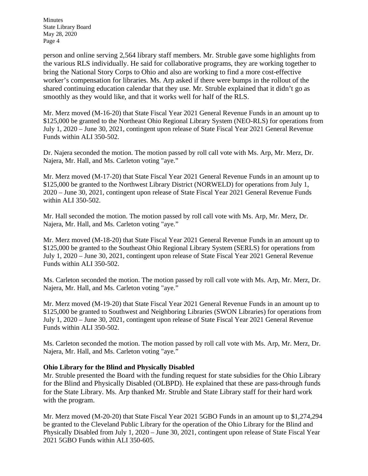person and online serving 2,564 library staff members. Mr. Struble gave some highlights from the various RLS individually. He said for collaborative programs, they are working together to bring the National Story Corps to Ohio and also are working to find a more cost-effective worker's compensation for libraries. Ms. Arp asked if there were bumps in the rollout of the shared continuing education calendar that they use. Mr. Struble explained that it didn't go as smoothly as they would like, and that it works well for half of the RLS.

Mr. Merz moved (M-16-20) that State Fiscal Year 2021 General Revenue Funds in an amount up to \$125,000 be granted to the Northeast Ohio Regional Library System (NEO-RLS) for operations from July 1, 2020 – June 30, 2021, contingent upon release of State Fiscal Year 2021 General Revenue Funds within ALI 350-502.

Dr. Najera seconded the motion. The motion passed by roll call vote with Ms. Arp, Mr. Merz, Dr. Najera, Mr. Hall, and Ms. Carleton voting "aye."

Mr. Merz moved (M-17-20) that State Fiscal Year 2021 General Revenue Funds in an amount up to \$125,000 be granted to the Northwest Library District (NORWELD) for operations from July 1, 2020 – June 30, 2021, contingent upon release of State Fiscal Year 2021 General Revenue Funds within ALI 350-502.

Mr. Hall seconded the motion. The motion passed by roll call vote with Ms. Arp, Mr. Merz, Dr. Najera, Mr. Hall, and Ms. Carleton voting "aye."

Mr. Merz moved (M-18-20) that State Fiscal Year 2021 General Revenue Funds in an amount up to \$125,000 be granted to the Southeast Ohio Regional Library System (SERLS) for operations from July 1, 2020 – June 30, 2021, contingent upon release of State Fiscal Year 2021 General Revenue Funds within ALI 350-502.

Ms. Carleton seconded the motion. The motion passed by roll call vote with Ms. Arp, Mr. Merz, Dr. Najera, Mr. Hall, and Ms. Carleton voting "aye."

Mr. Merz moved (M-19-20) that State Fiscal Year 2021 General Revenue Funds in an amount up to \$125,000 be granted to Southwest and Neighboring Libraries (SWON Libraries) for operations from July 1, 2020 – June 30, 2021, contingent upon release of State Fiscal Year 2021 General Revenue Funds within ALI 350-502.

Ms. Carleton seconded the motion. The motion passed by roll call vote with Ms. Arp, Mr. Merz, Dr. Najera, Mr. Hall, and Ms. Carleton voting "aye."

## **Ohio Library for the Blind and Physically Disabled**

Mr. Struble presented the Board with the funding request for state subsidies for the Ohio Library for the Blind and Physically Disabled (OLBPD). He explained that these are pass-through funds for the State Library. Ms. Arp thanked Mr. Struble and State Library staff for their hard work with the program.

Mr. Merz moved (M-20-20) that State Fiscal Year 2021 5GBO Funds in an amount up to \$1,274,294 be granted to the Cleveland Public Library for the operation of the Ohio Library for the Blind and Physically Disabled from July 1, 2020 – June 30, 2021, contingent upon release of State Fiscal Year 2021 5GBO Funds within ALI 350-605.